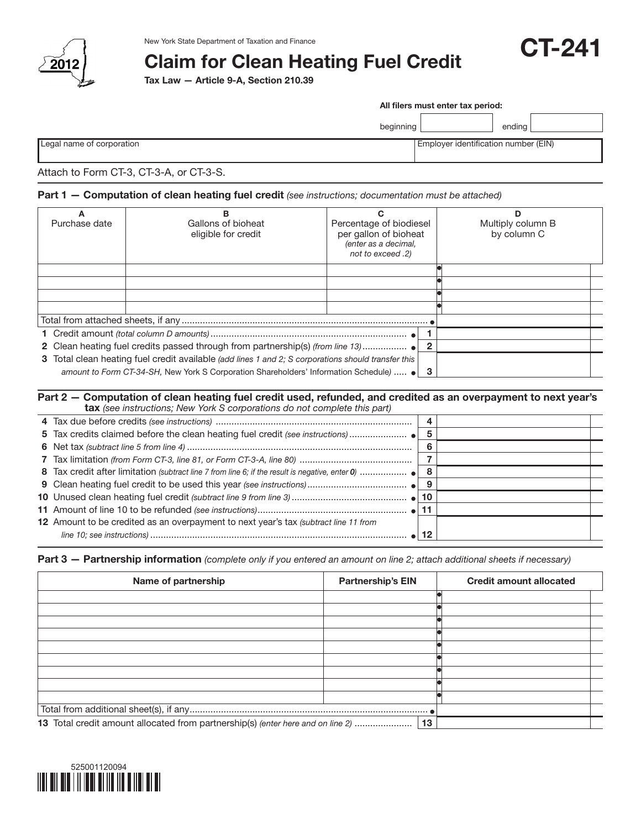

# Claim for Clean Heating Fuel Credit

Tax Law — Article 9-A, Section 210.39

|                                         |           | All filers must enter tax period:    |  |  |
|-----------------------------------------|-----------|--------------------------------------|--|--|
|                                         | beginning | endina                               |  |  |
| Legal name of corporation               |           | Employer identification number (EIN) |  |  |
| Attach to Form CT-3, CT-3-A, or CT-3-S. |           |                                      |  |  |

CT-241

### Part 1 - Computation of clean heating fuel credit *(see instructions; documentation must be attached)*

| Purchase date                                                                                       | в<br>Gallons of bioheat<br>eligible for credit | Percentage of biodiesel<br>per gallon of bioheat<br>(enter as a decimal,<br>not to exceed .2) |  | Multiply column B<br>by column C |  |
|-----------------------------------------------------------------------------------------------------|------------------------------------------------|-----------------------------------------------------------------------------------------------|--|----------------------------------|--|
|                                                                                                     |                                                |                                                                                               |  |                                  |  |
|                                                                                                     |                                                |                                                                                               |  |                                  |  |
|                                                                                                     |                                                |                                                                                               |  |                                  |  |
|                                                                                                     |                                                |                                                                                               |  |                                  |  |
|                                                                                                     |                                                |                                                                                               |  |                                  |  |
|                                                                                                     |                                                |                                                                                               |  |                                  |  |
| 3 Total clean heating fuel credit available (add lines 1 and 2; S corporations should transfer this |                                                |                                                                                               |  |                                  |  |
| amount to Form CT-34-SH, New York S Corporation Shareholders' Information Schedule)<br>3            |                                                |                                                                                               |  |                                  |  |

#### Part 2 — Computation of clean heating fuel credit used, refunded, and credited as an overpayment to next year's tax *(see instructions; New York S corporations do not complete this part)*

Part 3 — Partnership information *(complete only if you entered an amount on line 2; attach additional sheets if necessary)*

| Name of partnership                                                             | <b>Partnership's EIN</b> | <b>Credit amount allocated</b> |
|---------------------------------------------------------------------------------|--------------------------|--------------------------------|
|                                                                                 |                          |                                |
|                                                                                 |                          |                                |
|                                                                                 |                          |                                |
|                                                                                 |                          |                                |
|                                                                                 |                          |                                |
|                                                                                 |                          |                                |
|                                                                                 |                          |                                |
|                                                                                 |                          |                                |
|                                                                                 |                          |                                |
|                                                                                 |                          |                                |
| 13 Total credit amount allocated from partnership(s) (enter here and on line 2) | 13                       |                                |